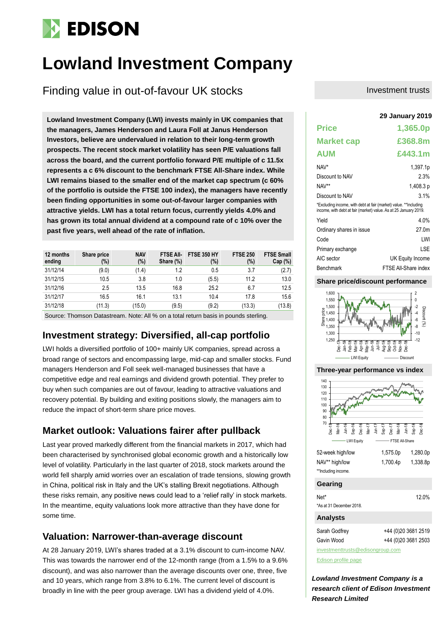# **EDISON**

# **Lowland Investment Company**

Finding value in out-of-favour UK stocks

Lowland Investment Company (LWI) invests mainly in UK companies that **the managers, James Henderson and Laura Foll at Janus Henderson Investors, believe are undervalued in relation to their long-term growth prospects. The recent stock market volatility has seen P/E valuations fall across the board, and the current portfolio forward P/E multiple of c 11.5x represents a c 6% discount to the benchmark FTSE All-Share index. While LWI remains biased to the smaller end of the market cap spectrum (c 60% of the portfolio is outside the FTSE 100 index), the managers have recently been finding opportunities in some out-of-favour larger companies with attractive yields. LWI has a total return focus, currently yields 4.0% and has grown its total annual dividend at a compound rate of c 10% over the past five years, well ahead of the rate of inflation.**

| 12 months<br>ending                                                                       | Share price<br>(%) | <b>NAV</b><br>(%) | <b>FTSE AII-</b><br>Share (%) | <b>FTSE 350 HY</b><br>$(\%)$ | <b>FTSE 250</b><br>(%) | <b>FTSE Small</b><br>Cap(%) |  |  |  |
|-------------------------------------------------------------------------------------------|--------------------|-------------------|-------------------------------|------------------------------|------------------------|-----------------------------|--|--|--|
| 31/12/14                                                                                  | (9.0)              | (1.4)             | 1.2                           | 0.5                          | 3.7                    | (2.7)                       |  |  |  |
| 31/12/15                                                                                  | 10.5               | 3.8               | 1.0                           | (5.5)                        | 11.2                   | 13.0                        |  |  |  |
| 31/12/16                                                                                  | 2.5                | 13.5              | 16.8                          | 25.2                         | 6.7                    | 12.5                        |  |  |  |
| 31/12/17                                                                                  | 16.5               | 16.1              | 13.1                          | 10.4                         | 17.8                   | 15.6                        |  |  |  |
| 31/12/18                                                                                  | (11.3)             | (15.0)            | (9.5)                         | (9.2)                        | (13.3)                 | (13.8)                      |  |  |  |
| Correo : Thomas e Detectuos de Note: All Of se o tatal notrine hoste la marrella etaulism |                    |                   |                               |                              |                        |                             |  |  |  |

Source: Thomson Datastream. Note: All % on a total return basis in pounds sterling.

# **Investment strategy: Diversified, all-cap portfolio**

LWI holds a diversified portfolio of 100+ mainly UK companies, spread across a broad range of sectors and encompassing large, mid-cap and smaller stocks. Fund managers Henderson and Foll seek well-managed businesses that have a competitive edge and real earnings and dividend growth potential. They prefer to buy when such companies are out of favour, leading to attractive valuations and recovery potential. By building and exiting positions slowly, the managers aim to reduce the impact of short-term share price moves.

# **Market outlook: Valuations fairer after pullback**

Last year proved markedly different from the financial markets in 2017, which had been characterised by synchronised global economic growth and a historically low level of volatility. Particularly in the last quarter of 2018, stock markets around the world fell sharply amid worries over an escalation of trade tensions, slowing growth in China, political risk in Italy and the UK's stalling Brexit negotiations. Although these risks remain, any positive news could lead to a 'relief rally' in stock markets. In the meantime, equity valuations look more attractive than they have done for some time.

## **Valuation: Narrower-than-average discount**

At 28 January 2019, LWI's shares traded at a 3.1% discount to cum-income NAV. This was towards the narrower end of the 12-month range (from a 1.5% to a 9.6% discount), and was also narrower than the average discounts over one, three, five and 10 years, which range from 3.8% to 6.1%. The current level of discount is broadly in line with the peer group average. LWI has a dividend yield of 4.0%.

#### Investment trusts

|                                                                                                                                      | <b>29 January 2019</b> |
|--------------------------------------------------------------------------------------------------------------------------------------|------------------------|
| <b>Price</b>                                                                                                                         | 1,365.0p               |
| <b>Market cap</b>                                                                                                                    | £368.8m                |
| <b>AUM</b>                                                                                                                           | £443.1m                |
| NAV*                                                                                                                                 | 1,397.1p               |
| Discount to NAV                                                                                                                      | 2.3%                   |
| NAV**                                                                                                                                | 1,408.3 p              |
| Discount to NAV                                                                                                                      | 3.1%                   |
| *Excluding income, with debt at fair (market) value. **Including<br>income, with debt at fair (market) value. As at 25 January 2019. |                        |
| Yield                                                                                                                                | 4.0%                   |
| Ordinary shares in issue                                                                                                             | 27.0 <sub>m</sub>      |
| Code                                                                                                                                 | LWI                    |
| Primary exchange                                                                                                                     | LSE                    |
| AIC sector                                                                                                                           | UK Equity Income       |
| Benchmark                                                                                                                            | FTSE All-Share index   |

#### **Share price/discount performance**





[Edison profile page](https://www.edisoninvestmentresearch.com/research/company/lowland-investment-company-PLC)

*Lowland Investment Company is a research client of Edison Investment Research Limited*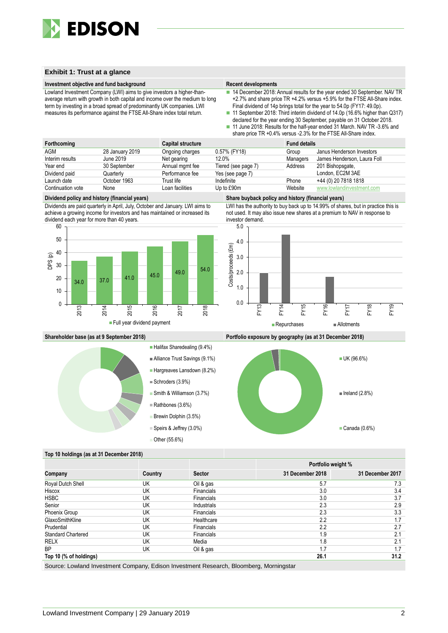

#### **Exhibit 1: Trust at a glance**

#### **Investment objective and fund background Recent developments Recent developments**

Lowland Investment Company (LWI) aims to give investors a higher-thanaverage return with growth in both capital and income over the medium to long term by investing in a broad spread of predominantly UK companies. LWI measures its performance against the FTSE All-Share index total return.

- 14 December 2018: Annual results for the year ended 30 September. NAV TR +2.7% and share price TR +4.2% versus +5.9% for the FTSE All-Share index. Final dividend of 14p brings total for the year to 54.0p (FY17: 49.0p).
- 11 September 2018: Third interim dividend of 14.0p (16.6% higher than Q317) declared for the year ending 30 September, payable on 31 October 2018.
- 11 June 2018: Results for the half-year ended 31 March. NAV TR -3.6% and share price TR +0.4% versus -2.3% for the FTSE All-Share index.

| Forthcoming       |                 | Capital structure |                     | <b>Fund details</b> |                             |
|-------------------|-----------------|-------------------|---------------------|---------------------|-----------------------------|
| AGM               | 28 January 2019 | Ongoing charges   | 0.57% (FY18)        | Group               | Janus Henderson Investors   |
| Interim results   | June 2019       | Net gearing       | 12.0%               | Managers            | James Henderson, Laura Foll |
| Year end          | 30 September    | Annual mgmt fee   | Tiered (see page 7) | Address             | 201 Bishopsgate,            |
| Dividend paid     | Quarterlv       | Performance fee   | Yes (see page 7)    |                     | London, EC2M 3AE            |
| Launch date       | October 1963    | Trust life        | Indefinite          | Phone               | +44 (0) 20 7818 1818        |
| Continuation vote | None            | Loan facilities   | Up to £90m          | Website             | www.lowlandinvestment.com   |

Dividends are paid quarterly in April, July, October and January. LWI aims to achieve a growing income for investors and has maintained or increased its dividend each year for more than 40 years.



#### **Dividend policy and history (financial years) Share buyback policy and history (financial years)**

LWI has the authority to buy back up to 14.99% of shares, but in practice this is not used. It may also issue new shares at a premium to NAV in response to investor demand.





**Shareholder base (as at 9 September 2018) Portfolio exposure by geography (as at 31 December 2018)**



#### **Top 10 holdings (as at 31 December 2018)**

|                           |         |                   |                  | Portfolio weight % |
|---------------------------|---------|-------------------|------------------|--------------------|
| Company                   | Country | <b>Sector</b>     | 31 December 2018 | 31 December 2017   |
| Royal Dutch Shell         | UK      | Oil & gas         | 5.7              | 7.3                |
| Hiscox                    | UK      | <b>Financials</b> | 3.0              | 3.4                |
| <b>HSBC</b>               | UK      | <b>Financials</b> | 3.0              | 3.7                |
| Senior                    | UK      | Industrials       | 2.3              | 2.9                |
| Phoenix Group             | UK      | Financials        | 2.3              | 3.3                |
| GlaxoSmithKline           | UK      | Healthcare        | 2.2              | 1.7                |
| Prudential                | UK      | <b>Financials</b> | 2.2              | 2.7                |
| <b>Standard Chartered</b> | UK      | Financials        | 1.9              | 2.1                |
| <b>RELX</b>               | UK      | Media             | 1.8              | 2.1                |
| <b>BP</b>                 | UK      | Oil & gas         | 1.7              | 1.7                |
| Top 10 (% of holdings)    |         |                   | 26.1             | 31.2               |

Source: Lowland Investment Company, Edison Investment Research, Bloomberg, Morningstar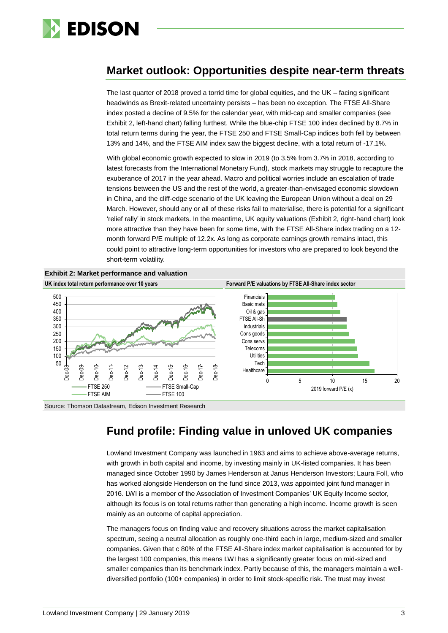

# **Market outlook: Opportunities despite near-term threats**

The last quarter of 2018 proved a torrid time for global equities, and the UK – facing significant headwinds as Brexit-related uncertainty persists – has been no exception. The FTSE All-Share index posted a decline of 9.5% for the calendar year, with mid-cap and smaller companies (see Exhibit 2, left-hand chart) falling furthest. While the blue-chip FTSE 100 index declined by 8.7% in total return terms during the year, the FTSE 250 and FTSE Small-Cap indices both fell by between 13% and 14%, and the FTSE AIM index saw the biggest decline, with a total return of -17.1%.

With global economic growth expected to slow in 2019 (to 3.5% from 3.7% in 2018, according to latest forecasts from the International Monetary Fund), stock markets may struggle to recapture the exuberance of 2017 in the year ahead. Macro and political worries include an escalation of trade tensions between the US and the rest of the world, a greater-than-envisaged economic slowdown in China, and the cliff-edge scenario of the UK leaving the European Union without a deal on 29 March. However, should any or all of these risks fail to materialise, there is potential for a significant 'relief rally' in stock markets. In the meantime, UK equity valuations (Exhibit 2, right-hand chart) look more attractive than they have been for some time, with the FTSE All-Share index trading on a 12 month forward P/E multiple of 12.2x. As long as corporate earnings growth remains intact, this could point to attractive long-term opportunities for investors who are prepared to look beyond the short-term volatility.



Source: Thomson Datastream, Edison Investment Research

# **Fund profile: Finding value in unloved UK companies**

Lowland Investment Company was launched in 1963 and aims to achieve above-average returns, with growth in both capital and income, by investing mainly in UK-listed companies. It has been managed since October 1990 by James Henderson at Janus Henderson Investors; Laura Foll, who has worked alongside Henderson on the fund since 2013, was appointed joint fund manager in 2016. LWI is a member of the Association of Investment Companies' UK Equity Income sector, although its focus is on total returns rather than generating a high income. Income growth is seen mainly as an outcome of capital appreciation.

The managers focus on finding value and recovery situations across the market capitalisation spectrum, seeing a neutral allocation as roughly one-third each in large, medium-sized and smaller companies. Given that c 80% of the FTSE All-Share index market capitalisation is accounted for by the largest 100 companies, this means LWI has a significantly greater focus on mid-sized and smaller companies than its benchmark index. Partly because of this, the managers maintain a welldiversified portfolio (100+ companies) in order to limit stock-specific risk. The trust may invest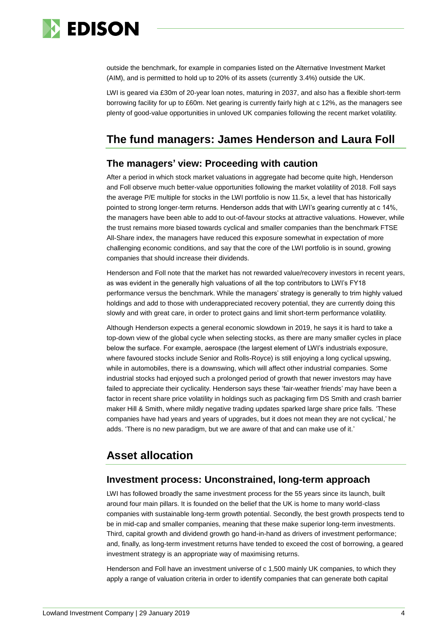

outside the benchmark, for example in companies listed on the Alternative Investment Market (AIM), and is permitted to hold up to 20% of its assets (currently 3.4%) outside the UK.

LWI is geared via £30m of 20-year loan notes, maturing in 2037, and also has a flexible short-term borrowing facility for up to £60m. Net gearing is currently fairly high at c 12%, as the managers see plenty of good-value opportunities in unloved UK companies following the recent market volatility.

# **The fund managers: James Henderson and Laura Foll**

### **The managers' view: Proceeding with caution**

After a period in which stock market valuations in aggregate had become quite high, Henderson and Foll observe much better-value opportunities following the market volatility of 2018. Foll says the average P/E multiple for stocks in the LWI portfolio is now 11.5x, a level that has historically pointed to strong longer-term returns. Henderson adds that with LWI's gearing currently at c 14%, the managers have been able to add to out-of-favour stocks at attractive valuations. However, while the trust remains more biased towards cyclical and smaller companies than the benchmark FTSE All-Share index, the managers have reduced this exposure somewhat in expectation of more challenging economic conditions, and say that the core of the LWI portfolio is in sound, growing companies that should increase their dividends.

Henderson and Foll note that the market has not rewarded value/recovery investors in recent years, as was evident in the generally high valuations of all the top contributors to LWI's FY18 performance versus the benchmark. While the managers' strategy is generally to trim highly valued holdings and add to those with underappreciated recovery potential, they are currently doing this slowly and with great care, in order to protect gains and limit short-term performance volatility.

Although Henderson expects a general economic slowdown in 2019, he says it is hard to take a top-down view of the global cycle when selecting stocks, as there are many smaller cycles in place below the surface. For example, aerospace (the largest element of LWI's industrials exposure, where favoured stocks include Senior and Rolls-Royce) is still enjoying a long cyclical upswing, while in automobiles, there is a downswing, which will affect other industrial companies. Some industrial stocks had enjoyed such a prolonged period of growth that newer investors may have failed to appreciate their cyclicality. Henderson says these 'fair-weather friends' may have been a factor in recent share price volatility in holdings such as packaging firm DS Smith and crash barrier maker Hill & Smith, where mildly negative trading updates sparked large share price falls. 'These companies have had years and years of upgrades, but it does not mean they are not cyclical,' he adds. 'There is no new paradigm, but we are aware of that and can make use of it.'

# **Asset allocation**

#### **Investment process: Unconstrained, long-term approach**

LWI has followed broadly the same investment process for the 55 years since its launch, built around four main pillars. It is founded on the belief that the UK is home to many world-class companies with sustainable long-term growth potential. Secondly, the best growth prospects tend to be in mid-cap and smaller companies, meaning that these make superior long-term investments. Third, capital growth and dividend growth go hand-in-hand as drivers of investment performance; and, finally, as long-term investment returns have tended to exceed the cost of borrowing, a geared investment strategy is an appropriate way of maximising returns.

Henderson and Foll have an investment universe of c 1,500 mainly UK companies, to which they apply a range of valuation criteria in order to identify companies that can generate both capital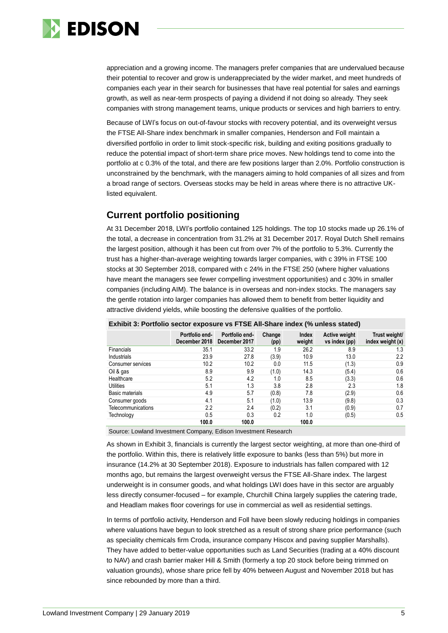

appreciation and a growing income. The managers prefer companies that are undervalued because their potential to recover and grow is underappreciated by the wider market, and meet hundreds of companies each year in their search for businesses that have real potential for sales and earnings growth, as well as near-term prospects of paying a dividend if not doing so already. They seek companies with strong management teams, unique products or services and high barriers to entry.

Because of LWI's focus on out-of-favour stocks with recovery potential, and its overweight versus the FTSE All-Share index benchmark in smaller companies, Henderson and Foll maintain a diversified portfolio in order to limit stock-specific risk, building and exiting positions gradually to reduce the potential impact of short-term share price moves. New holdings tend to come into the portfolio at c 0.3% of the total, and there are few positions larger than 2.0%. Portfolio construction is unconstrained by the benchmark, with the managers aiming to hold companies of all sizes and from a broad range of sectors. Overseas stocks may be held in areas where there is no attractive UKlisted equivalent.

### **Current portfolio positioning**

At 31 December 2018, LWI's portfolio contained 125 holdings. The top 10 stocks made up 26.1% of the total, a decrease in concentration from 31.2% at 31 December 2017. Royal Dutch Shell remains the largest position, although it has been cut from over 7% of the portfolio to 5.3%. Currently the trust has a higher-than-average weighting towards larger companies, with c 39% in FTSE 100 stocks at 30 September 2018, compared with c 24% in the FTSE 250 (where higher valuations have meant the managers see fewer compelling investment opportunities) and c 30% in smaller companies (including AIM). The balance is in overseas and non-index stocks. The managers say the gentle rotation into larger companies has allowed them to benefit from better liquidity and attractive dividend yields, while boosting the defensive qualities of the portfolio.

| ------<br>-- <b>1</b> - - |                                 |                                 |                |                        |                                       |                                   |  |  |  |
|---------------------------|---------------------------------|---------------------------------|----------------|------------------------|---------------------------------------|-----------------------------------|--|--|--|
|                           | Portfolio end-<br>December 2018 | Portfolio end-<br>December 2017 | Change<br>(pp) | <b>Index</b><br>weight | <b>Active weight</b><br>vs index (pp) | Trust weight/<br>index weight (x) |  |  |  |
| Financials                | 35.1                            | 33.2                            | 1.9            | 26.2                   | 8.9                                   | 1.3                               |  |  |  |
| Industrials               | 23.9                            | 27.8                            | (3.9)          | 10.9                   | 13.0                                  | 2.2                               |  |  |  |
| Consumer services         | 10.2                            | 10.2                            | 0.0            | 11.5                   | (1.3)                                 | 0.9                               |  |  |  |
| Oil & gas                 | 8.9                             | 9.9                             | (1.0)          | 14.3                   | (5.4)                                 | 0.6                               |  |  |  |
| Healthcare                | 5.2                             | 4.2                             | 1.0            | 8.5                    | (3.3)                                 | 0.6                               |  |  |  |
| <b>Utilities</b>          | 5.1                             | 1.3                             | 3.8            | 2.8                    | 2.3                                   | 1.8                               |  |  |  |
| Basic materials           | 4.9                             | 5.7                             | (0.8)          | 7.8                    | (2.9)                                 | 0.6                               |  |  |  |
| Consumer goods            | 4.1                             | 5.1                             | (1.0)          | 13.9                   | (9.8)                                 | 0.3                               |  |  |  |
| Telecommunications        | 2.2                             | 2.4                             | (0.2)          | 3.1                    | (0.9)                                 | 0.7                               |  |  |  |
| Technology                | 0.5                             | 0.3                             | 0.2            | 1.0                    | (0.5)                                 | 0.5                               |  |  |  |
|                           | 100.0                           | 100.0                           |                | 100.0                  |                                       |                                   |  |  |  |

#### **Exhibit 3: Portfolio sector exposure vs FTSE All-Share index (% unless stated)**

Source: Lowland Investment Company, Edison Investment Research

As shown in Exhibit 3, financials is currently the largest sector weighting, at more than one-third of the portfolio. Within this, there is relatively little exposure to banks (less than 5%) but more in insurance (14.2% at 30 September 2018). Exposure to industrials has fallen compared with 12 months ago, but remains the largest overweight versus the FTSE All-Share index. The largest underweight is in consumer goods, and what holdings LWI does have in this sector are arguably less directly consumer-focused – for example, Churchill China largely supplies the catering trade, and Headlam makes floor coverings for use in commercial as well as residential settings.

In terms of portfolio activity, Henderson and Foll have been slowly reducing holdings in companies where valuations have begun to look stretched as a result of strong share price performance (such as speciality chemicals firm Croda, insurance company Hiscox and paving supplier Marshalls). They have added to better-value opportunities such as Land Securities (trading at a 40% discount to NAV) and crash barrier maker Hill & Smith (formerly a top 20 stock before being trimmed on valuation grounds), whose share price fell by 40% between August and November 2018 but has since rebounded by more than a third.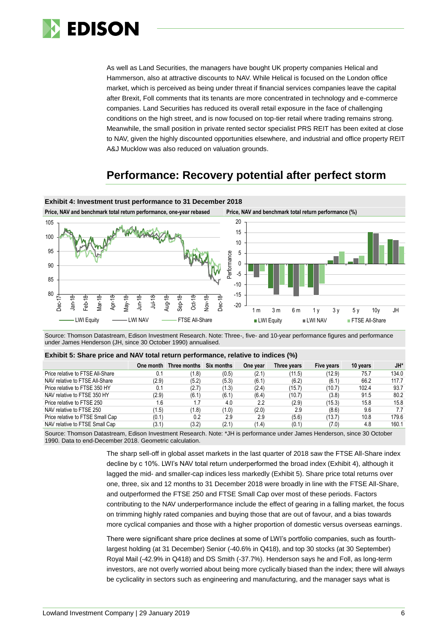

As well as Land Securities, the managers have bought UK property companies Helical and Hammerson, also at attractive discounts to NAV. While Helical is focused on the London office market, which is perceived as being under threat if financial services companies leave the capital after Brexit, Foll comments that its tenants are more concentrated in technology and e-commerce companies. Land Securities has reduced its overall retail exposure in the face of challenging conditions on the high street, and is now focused on top-tier retail where trading remains strong. Meanwhile, the small position in private rented sector specialist PRS REIT has been exited at close to NAV, given the highly discounted opportunities elsewhere, and industrial and office property REIT A&J Mucklow was also reduced on valuation grounds.

# **Performance: Recovery potential after perfect storm**



Source: Thomson Datastream, Edison Investment Research. Note: Three-, five- and 10-year performance figures and performance under James Henderson (JH, since 30 October 1990) annualised.

#### **Exhibit 5: Share price and NAV total return performance, relative to indices (%)**

|                                  | One month | Three months Six months |       | One year | Three years | Five years | 10 years | JH*   |
|----------------------------------|-----------|-------------------------|-------|----------|-------------|------------|----------|-------|
| Price relative to FTSE All-Share | 0.1       | 1.8)                    | (0.5) | (2.1)    | (11.5)      | (12.9)     | 75.7     | 134.0 |
| NAV relative to FTSE All-Share   | (2.9)     | (5.2)                   | (5.3) | (6.1)    | (6.2)       | (6.1)      | 66.2     | 117.7 |
| Price relative to FTSE 350 HY    | 0.1       | (2.7)                   | (1.3) | (2.4)    | (15.7)      | (10.7)     | 102.4    | 93.7  |
| NAV relative to FTSE 350 HY      | (2.9)     | (6.1)                   | (6.1) | (6.4)    | (10.7)      | (3.8)      | 91.5     | 80.2  |
| Price relative to FTSE 250       | 1.6       |                         | 4.0   | 2.2      | (2.9)       | (15.3)     | 15.8     | 15.8  |
| NAV relative to FTSE 250         | (1.5)     | (1.8)                   | (1.0) | (2.0)    | 2.9         | (8.6)      | 9.6      | 7.7   |
| Price relative to FTSE Small Cap | (0.1)     | 0.2                     | 2.9   | 2.9      | (5.6)       | (13.7)     | 10.8     | 179.6 |
| NAV relative to FTSE Small Cap   | (3.1)     | (3.2)                   | (2.1) | (1.4)    | (0.1)       | (7.0)      | 4.8      | 160.1 |

Source: Thomson Datastream, Edison Investment Research. Note: \*JH is performance under James Henderson, since 30 October 1990. Data to end-December 2018. Geometric calculation.

> The sharp sell-off in global asset markets in the last quarter of 2018 saw the FTSE All-Share index decline by c 10%. LWI's NAV total return underperformed the broad index (Exhibit 4), although it lagged the mid- and smaller-cap indices less markedly (Exhibit 5). Share price total returns over one, three, six and 12 months to 31 December 2018 were broadly in line with the FTSE All-Share, and outperformed the FTSE 250 and FTSE Small Cap over most of these periods. Factors contributing to the NAV underperformance include the effect of gearing in a falling market, the focus on trimming highly rated companies and buying those that are out of favour, and a bias towards more cyclical companies and those with a higher proportion of domestic versus overseas earnings.

> There were significant share price declines at some of LWI's portfolio companies, such as fourthlargest holding (at 31 December) Senior (-40.6% in Q418), and top 30 stocks (at 30 September) Royal Mail (-42.9% in Q418) and DS Smith (-37.7%). Henderson says he and Foll, as long-term investors, are not overly worried about being more cyclically biased than the index; there will always be cyclicality in sectors such as engineering and manufacturing, and the manager says what is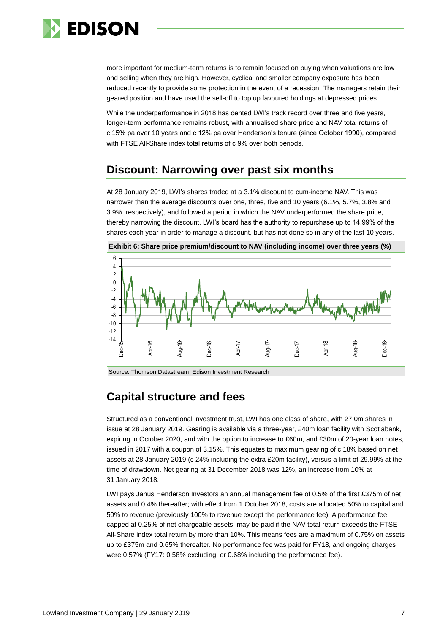

more important for medium-term returns is to remain focused on buying when valuations are low and selling when they are high. However, cyclical and smaller company exposure has been reduced recently to provide some protection in the event of a recession. The managers retain their geared position and have used the sell-off to top up favoured holdings at depressed prices.

While the underperformance in 2018 has dented LWI's track record over three and five years. longer-term performance remains robust, with annualised share price and NAV total returns of c 15% pa over 10 years and c 12% pa over Henderson's tenure (since October 1990), compared with FTSE All-Share index total returns of c 9% over both periods.

# **Discount: Narrowing over past six months**

At 28 January 2019, LWI's shares traded at a 3.1% discount to cum-income NAV. This was narrower than the average discounts over one, three, five and 10 years (6.1%, 5.7%, 3.8% and 3.9%, respectively), and followed a period in which the NAV underperformed the share price, thereby narrowing the discount. LWI's board has the authority to repurchase up to 14.99% of the shares each year in order to manage a discount, but has not done so in any of the last 10 years.



**Exhibit 6: Share price premium/discount to NAV (including income) over three years (%)**

Source: Thomson Datastream, Edison Investment Research

# **Capital structure and fees**

Structured as a conventional investment trust, LWI has one class of share, with 27.0m shares in issue at 28 January 2019. Gearing is available via a three-year, £40m loan facility with Scotiabank, expiring in October 2020, and with the option to increase to £60m, and £30m of 20-year loan notes, issued in 2017 with a coupon of 3.15%. This equates to maximum gearing of c 18% based on net assets at 28 January 2019 (c 24% including the extra £20m facility), versus a limit of 29.99% at the time of drawdown. Net gearing at 31 December 2018 was 12%, an increase from 10% at 31 January 2018.

LWI pays Janus Henderson Investors an annual management fee of 0.5% of the first £375m of net assets and 0.4% thereafter; with effect from 1 October 2018, costs are allocated 50% to capital and 50% to revenue (previously 100% to revenue except the performance fee). A performance fee, capped at 0.25% of net chargeable assets, may be paid if the NAV total return exceeds the FTSE All-Share index total return by more than 10%. This means fees are a maximum of 0.75% on assets up to £375m and 0.65% thereafter. No performance fee was paid for FY18, and ongoing charges were 0.57% (FY17: 0.58% excluding, or 0.68% including the performance fee).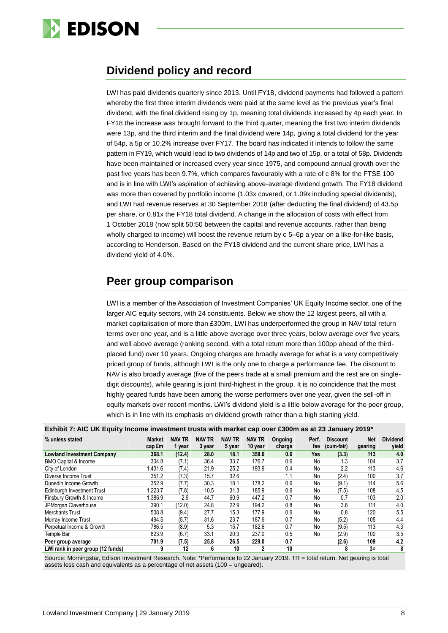

# **Dividend policy and record**

LWI has paid dividends quarterly since 2013. Until FY18, dividend payments had followed a pattern whereby the first three interim dividends were paid at the same level as the previous year's final dividend, with the final dividend rising by 1p, meaning total dividends increased by 4p each year. In FY18 the increase was brought forward to the third quarter, meaning the first two interim dividends were 13p, and the third interim and the final dividend were 14p, giving a total dividend for the year of 54p, a 5p or 10.2% increase over FY17. The board has indicated it intends to follow the same pattern in FY19, which would lead to two dividends of 14p and two of 15p, or a total of 58p. Dividends have been maintained or increased every year since 1975, and compound annual growth over the past five years has been 9.7%, which compares favourably with a rate of c 8% for the FTSE 100 and is in line with LWI's aspiration of achieving above-average dividend growth. The FY18 dividend was more than covered by portfolio income (1.03x covered, or 1.09x including special dividends), and LWI had revenue reserves at 30 September 2018 (after deducting the final dividend) of 43.5p per share, or 0.81x the FY18 total dividend. A change in the allocation of costs with effect from 1 October 2018 (now split 50:50 between the capital and revenue accounts, rather than being wholly charged to income) will boost the revenue return by c 5–6p a year on a like-for-like basis, according to Henderson. Based on the FY18 dividend and the current share price, LWI has a dividend yield of 4.0%.

# **Peer group comparison**

LWI is a member of the Association of Investment Companies' UK Equity Income sector, one of the larger AIC equity sectors, with 24 constituents. Below we show the 12 largest peers, all with a market capitalisation of more than £300m. LWI has underperformed the group in NAV total return terms over one year, and is a little above average over three years, below average over five years, and well above average (ranking second, with a total return more than 100pp ahead of the thirdplaced fund) over 10 years. Ongoing charges are broadly average for what is a very competitively priced group of funds, although LWI is the only one to charge a performance fee. The discount to NAV is also broadly average (five of the peers trade at a small premium and the rest are on singledigit discounts), while gearing is joint third-highest in the group. It is no coincidence that the most highly geared funds have been among the worse performers over one year, given the sell-off in equity markets over recent months. LWI's dividend yield is a little below average for the peer group, which is in line with its emphasis on dividend growth rather than a high starting yield.

| % unless stated                   | <b>Market</b><br>cap £m | <b>NAV TR</b><br>1 year | <b>NAV TR</b><br>3 year | <b>NAV TR</b><br>5 year | <b>NAV TR</b><br>10 year | Ongoing<br>charge | Perf.<br>fee | <b>Discount</b><br>(cum-fair) | Net<br>gearing | <b>Dividend</b><br>yield |
|-----------------------------------|-------------------------|-------------------------|-------------------------|-------------------------|--------------------------|-------------------|--------------|-------------------------------|----------------|--------------------------|
| <b>Lowland Investment Company</b> | 368.1                   | (12.4)                  | 28.0                    | 18.1                    | 358.0                    | 0.6               | Yes          | (3.3)                         | 113            | 4.0                      |
| <b>BMO Capital &amp; Income</b>   | 304.8                   | (7.1)                   | 36.4                    | 33.7                    | 176.7                    | 0.6               | No           | 1.3                           | 104            | 3.7                      |
| City of London                    | 1,431.6                 | (7.4)                   | 21.9                    | 25.2                    | 193.9                    | 0.4               | No           | 2.2                           | 113            | 4.6                      |
| Diverse Income Trust              | 351.2                   | (7.3)                   | 15.7                    | 32.6                    |                          | 1.1               | No           | (2.4)                         | 100            | 3.7                      |
| Dunedin Income Growth             | 352.9                   | (7.7)                   | 30.3                    | 18.1                    | 178.2                    | 0.6               | No           | (9.1)                         | 114            | 5.6                      |
| Edinburgh Investment Trust        | 1,223.7                 | (7.8)                   | 10.5                    | 31.3                    | 185.9                    | 0.6               | No           | (7.5)                         | 108            | 4.5                      |
| Finsbury Growth & Income          | 1,386.9                 | 2.9                     | 44.7                    | 60.9                    | 447.2                    | 0.7               | No           | 0.7                           | 103            | 2.0                      |
| JPMorgan Claverhouse              | 390.1                   | (12.0)                  | 24.8                    | 22.9                    | 194.2                    | 0.8               | No           | 3.8                           | 111            | 4.0                      |
| <b>Merchants Trust</b>            | 508.8                   | (9.4)                   | 27.7                    | 15.3                    | 177.9                    | 0.6               | No           | 0.8                           | 120            | 5.5                      |
| Murray Income Trust               | 494.5                   | (5.7)                   | 31.6                    | 23.7                    | 187.6                    | 0.7               | No           | (5.2)                         | 105            | 4.4                      |
| Perpetual Income & Growth         | 786.5                   | (8.9)                   | 5.3                     | 15.7                    | 182.6                    | 0.7               | No           | (9.5)                         | 113            | 4.3                      |
| Temple Bar                        | 823.9                   | (6.7)                   | 33.1                    | 20.3                    | 237.0                    | 0.5               | No           | (2.9)                         | 100            | 3.5                      |
| Peer group average                | 701.9                   | (7.5)                   | 25.8                    | 26.5                    | 229.0                    | 0.7               |              | (2.6)                         | 109            | 4.2                      |
| LWI rank in peer group (12 funds) | 9                       | 12                      | 6                       | 10                      |                          | 10                |              | 8                             | $3=$           | 8                        |

**Exhibit 7: AIC UK Equity Income investment trusts with market cap over £300m as at 23 January 2019\***

Source: Morningstar, Edison Investment Research. Note: \*Performance to 22 January 2019. TR = total return. Net gearing is total assets less cash and equivalents as a percentage of net assets (100 = ungeared).